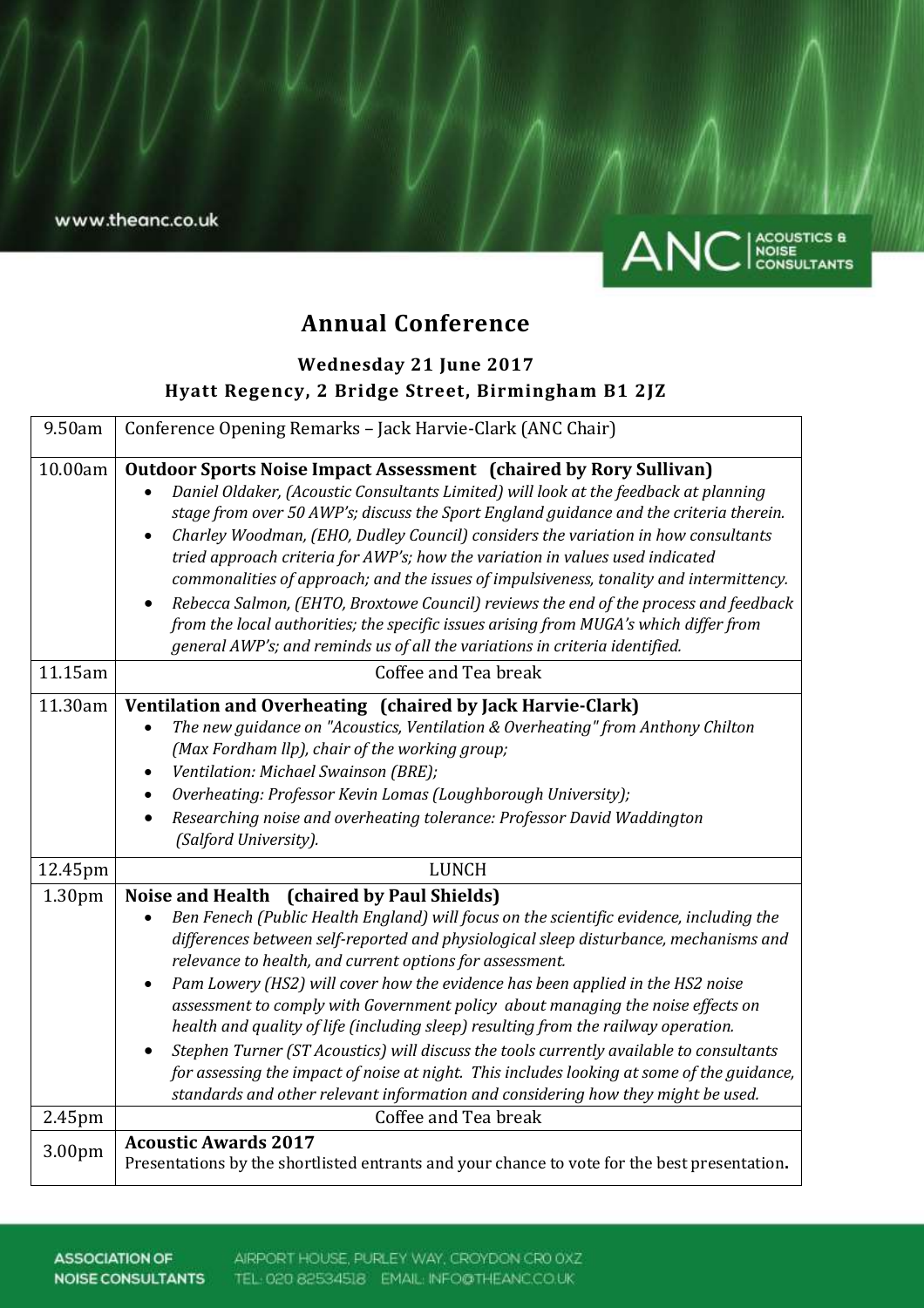www.theanc.co.uk



# **Annual Conference**

# **Wednesday 21 June 2017 Hyatt Regency, 2 Bridge Street, Birmingham B1 2JZ**

| 9.50am  | Conference Opening Remarks - Jack Harvie-Clark (ANC Chair)                                                                                                                                                                                                                                                                                                                                                                                                                                                                                                                                                                                                                                                                                                                                                                                                   |
|---------|--------------------------------------------------------------------------------------------------------------------------------------------------------------------------------------------------------------------------------------------------------------------------------------------------------------------------------------------------------------------------------------------------------------------------------------------------------------------------------------------------------------------------------------------------------------------------------------------------------------------------------------------------------------------------------------------------------------------------------------------------------------------------------------------------------------------------------------------------------------|
| 10.00am | <b>Outdoor Sports Noise Impact Assessment (chaired by Rory Sullivan)</b><br>Daniel Oldaker, (Acoustic Consultants Limited) will look at the feedback at planning<br>stage from over 50 AWP's; discuss the Sport England guidance and the criteria therein.<br>Charley Woodman, (EHO, Dudley Council) considers the variation in how consultants<br>$\bullet$<br>tried approach criteria for AWP's; how the variation in values used indicated<br>commonalities of approach; and the issues of impulsiveness, tonality and intermittency.<br>Rebecca Salmon, (EHTO, Broxtowe Council) reviews the end of the process and feedback<br>$\bullet$<br>from the local authorities; the specific issues arising from MUGA's which differ from<br>general AWP's; and reminds us of all the variations in criteria identified.                                        |
| 11.15am | Coffee and Tea break                                                                                                                                                                                                                                                                                                                                                                                                                                                                                                                                                                                                                                                                                                                                                                                                                                         |
| 11.30am | Ventilation and Overheating (chaired by Jack Harvie-Clark)<br>The new guidance on "Acoustics, Ventilation & Overheating" from Anthony Chilton<br>(Max Fordham llp), chair of the working group;<br>Ventilation: Michael Swainson (BRE);<br>$\bullet$<br>Overheating: Professor Kevin Lomas (Loughborough University);<br>$\bullet$<br>Researching noise and overheating tolerance: Professor David Waddington<br>$\bullet$<br>(Salford University).                                                                                                                                                                                                                                                                                                                                                                                                          |
| 12.45pm | <b>LUNCH</b>                                                                                                                                                                                                                                                                                                                                                                                                                                                                                                                                                                                                                                                                                                                                                                                                                                                 |
| 1.30pm  | Noise and Health (chaired by Paul Shields)<br>Ben Fenech (Public Health England) will focus on the scientific evidence, including the<br>differences between self-reported and physiological sleep disturbance, mechanisms and<br>relevance to health, and current options for assessment.<br>Pam Lowery (HS2) will cover how the evidence has been applied in the HS2 noise<br>$\bullet$<br>assessment to comply with Government policy about managing the noise effects on<br>health and quality of life (including sleep) resulting from the railway operation.<br>Stephen Turner (ST Acoustics) will discuss the tools currently available to consultants<br>$\bullet$<br>for assessing the impact of noise at night. This includes looking at some of the guidance,<br>standards and other relevant information and considering how they might be used. |
| 2.45pm  | Coffee and Tea break                                                                                                                                                                                                                                                                                                                                                                                                                                                                                                                                                                                                                                                                                                                                                                                                                                         |
| 3.00pm  | <b>Acoustic Awards 2017</b><br>Presentations by the shortlisted entrants and your chance to vote for the best presentation.                                                                                                                                                                                                                                                                                                                                                                                                                                                                                                                                                                                                                                                                                                                                  |